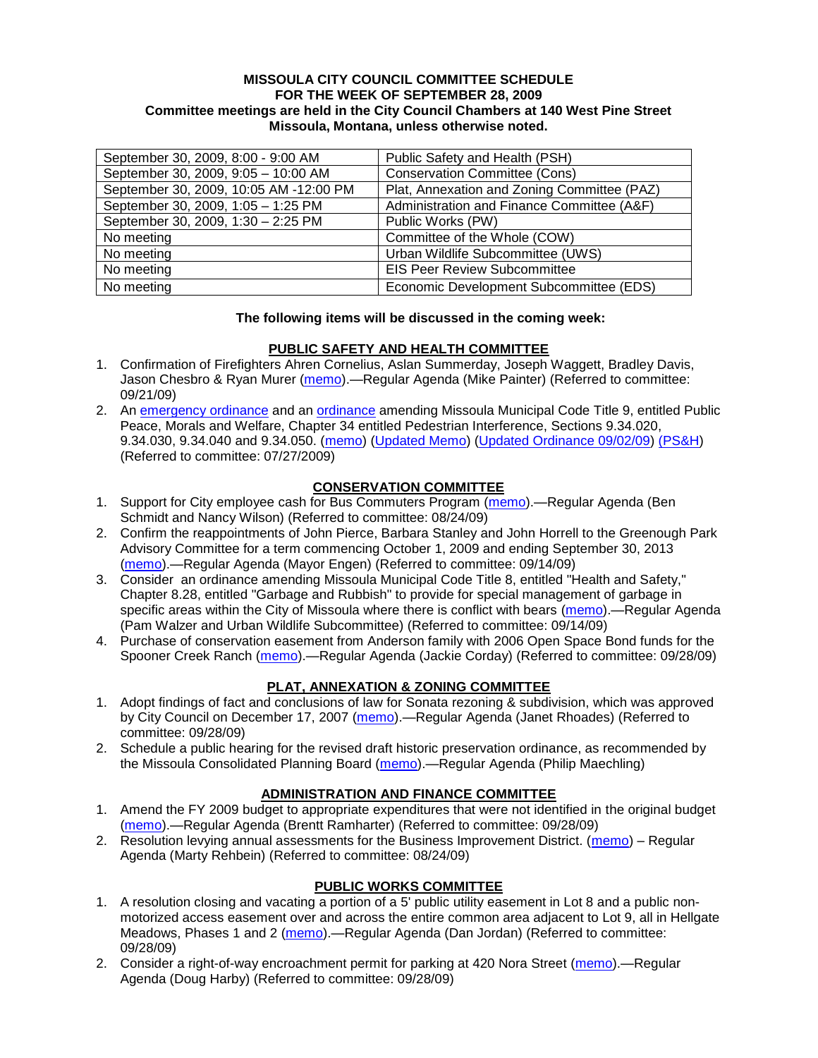### **MISSOULA CITY COUNCIL COMMITTEE SCHEDULE FOR THE WEEK OF SEPTEMBER 28, 2009 Committee meetings are held in the City Council Chambers at 140 West Pine Street Missoula, Montana, unless otherwise noted.**

| September 30, 2009, 8:00 - 9:00 AM     | Public Safety and Health (PSH)              |
|----------------------------------------|---------------------------------------------|
| September 30, 2009, 9:05 - 10:00 AM    | <b>Conservation Committee (Cons)</b>        |
| September 30, 2009, 10:05 AM -12:00 PM | Plat, Annexation and Zoning Committee (PAZ) |
| September 30, 2009, 1:05 - 1:25 PM     | Administration and Finance Committee (A&F)  |
| September 30, 2009, 1:30 - 2:25 PM     | Public Works (PW)                           |
| No meeting                             | Committee of the Whole (COW)                |
| No meeting                             | Urban Wildlife Subcommittee (UWS)           |
| No meeting                             | <b>EIS Peer Review Subcommittee</b>         |
| No meeting                             | Economic Development Subcommittee (EDS)     |

# **The following items will be discussed in the coming week:**

# **PUBLIC SAFETY AND HEALTH COMMITTEE**

- 1. Confirmation of Firefighters Ahren Cornelius, Aslan Summerday, Joseph Waggett, Bradley Davis, Jason Chesbro & Ryan Murer [\(memo\)](http://www.ci.missoula.mt.us/DocumentView.aspx?DID=2264).—Regular Agenda (Mike Painter) (Referred to committee: 09/21/09)
- 2. An [emergency ordinance](http://www.ci.missoula.mt.us/DocumentView.aspx?DID=1651) and an [ordinance](http://www.ci.missoula.mt.us/DocumentView.aspx?DID=1653) amending Missoula Municipal Code Title 9, entitled Public Peace, Morals and Welfare, Chapter 34 entitled Pedestrian Interference, Sections 9.34.020, 9.34.030, 9.34.040 and 9.34.050. [\(memo\)](ftp://ftp.ci.missoula.mt.us/Packets/Council/2009/2009-05-18/Referrals/PWGReferral.pdf) [\(Updated Memo\)](http://www.ci.missoula.mt.us/DocumentView.aspx?DID=1654) [\(Updated Ordinance 09/02/09\)](http://www.ci.missoula.mt.us/DocumentView.aspx?DID=2185) [\(PS&H\)](http://www.ci.missoula.mt.us/Archive.aspx?ADID=883) (Referred to committee: 07/27/2009)

# **CONSERVATION COMMITTEE**

- 1. Support for City employee cash for Bus Commuters Program [\(memo\)](http://www.ci.missoula.mt.us/DocumentView.aspx?DID=2127).—Regular Agenda (Ben Schmidt and Nancy Wilson) (Referred to committee: 08/24/09)
- 2. Confirm the reappointments of John Pierce, Barbara Stanley and John Horrell to the Greenough Park Advisory Committee for a term commencing October 1, 2009 and ending September 30, 2013 [\(memo\)](http://www.ci.missoula.mt.us/DocumentView.aspx?DID=2224).—Regular Agenda (Mayor Engen) (Referred to committee: 09/14/09)
- 3. Consider an ordinance amending Missoula Municipal Code Title 8, entitled "Health and Safety," Chapter 8.28, entitled "Garbage and Rubbish" to provide for special management of garbage in specific areas within the City of Missoula where there is conflict with bears [\(memo\)](http://www.ci.missoula.mt.us/DocumentView.aspx?DID=2228).—Regular Agenda (Pam Walzer and Urban Wildlife Subcommittee) (Referred to committee: 09/14/09)
- 4. Purchase of conservation easement from Anderson family with 2006 Open Space Bond funds for the Spooner Creek Ranch [\(memo\)](http://www.ci.missoula.mt.us/DocumentView.aspx?DID=2305).—Regular Agenda (Jackie Corday) (Referred to committee: 09/28/09)

# **PLAT, ANNEXATION & ZONING COMMITTEE**

- 1. Adopt findings of fact and conclusions of law for Sonata rezoning & subdivision, which was approved by City Council on December 17, 2007 [\(memo\)](http://www.ci.missoula.mt.us/DocumentView.aspx?DID=2307).—Regular Agenda (Janet Rhoades) (Referred to committee: 09/28/09)
- 2. Schedule a public hearing for the revised draft historic preservation ordinance, as recommended by the Missoula Consolidated Planning Board [\(memo\)](http://www.ci.missoula.mt.us/DocumentView.aspx?DID=2306).—Regular Agenda (Philip Maechling)

# **ADMINISTRATION AND FINANCE COMMITTEE**

- 1. Amend the FY 2009 budget to appropriate expenditures that were not identified in the original budget [\(memo\)](http://www.ci.missoula.mt.us/DocumentView.aspx?DID=2302).—Regular Agenda (Brentt Ramharter) (Referred to committee: 09/28/09)
- 2. Resolution levying annual assessments for the Business Improvement District. [\(memo\)](http://www.ci.missoula.mt.us/DocumentView.aspx?DID=2098) Regular Agenda (Marty Rehbein) (Referred to committee: 08/24/09)

# **PUBLIC WORKS COMMITTEE**

- 1. A resolution closing and vacating a portion of a 5' public utility easement in Lot 8 and a public nonmotorized access easement over and across the entire common area adjacent to Lot 9, all in Hellgate Meadows, Phases 1 and 2 [\(memo\)](http://www.ci.missoula.mt.us/DocumentView.aspx?DID=2309).—Regular Agenda (Dan Jordan) (Referred to committee: 09/28/09)
- 2. Consider a right-of-way encroachment permit for parking at 420 Nora Street [\(memo\)](http://www.ci.missoula.mt.us/DocumentView.aspx?DID=2310).—Regular Agenda (Doug Harby) (Referred to committee: 09/28/09)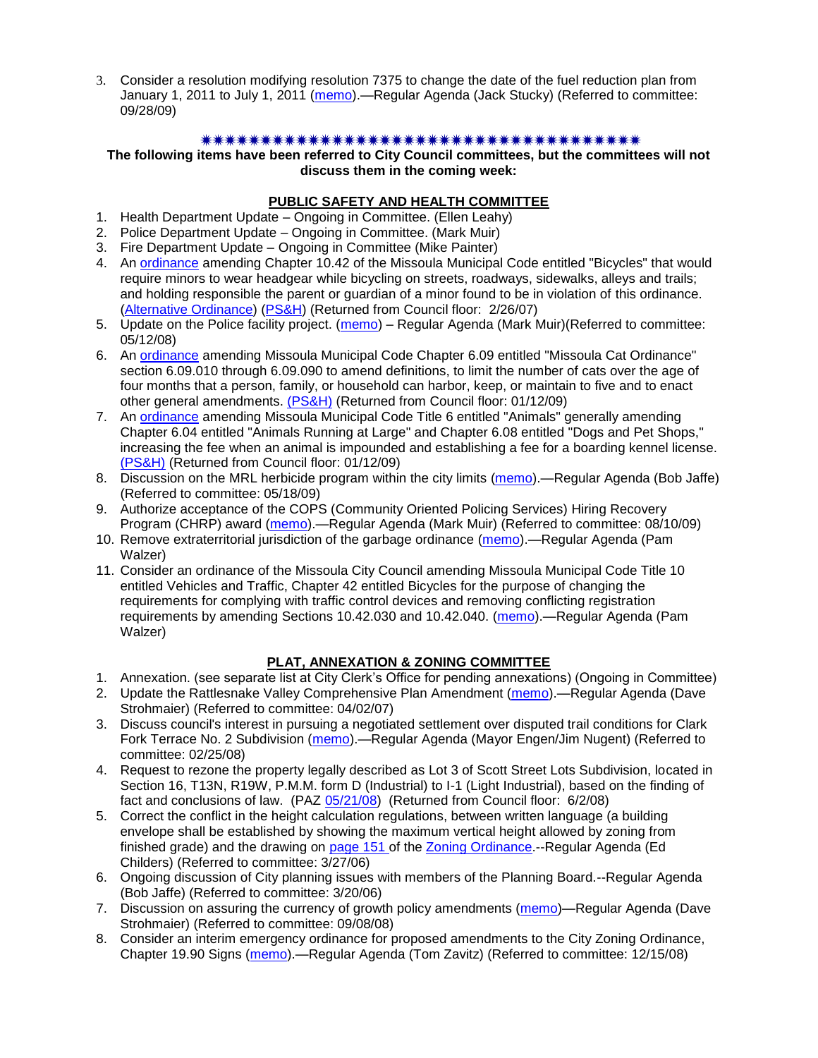3. Consider a resolution modifying resolution 7375 to change the date of the fuel reduction plan from January 1, 2011 to July 1, 2011 [\(memo\)](http://www.ci.missoula.mt.us/DocumentView.aspx?DID=2308).—Regular Agenda (Jack Stucky) (Referred to committee: 09/28/09)

# 

**The following items have been referred to City Council committees, but the committees will not discuss them in the coming week:**

# **PUBLIC SAFETY AND HEALTH COMMITTEE**

- 1. Health Department Update Ongoing in Committee. (Ellen Leahy)
- 2. Police Department Update Ongoing in Committee. (Mark Muir)
- 3. Fire Department Update Ongoing in Committee (Mike Painter)
- 4. An [ordinance](ftp://ftp.ci.missoula.mt.us/Packets/Council/2007/2007-02-05/07-01-31 Helmet and bikes psh.htm) amending Chapter 10.42 of the Missoula Municipal Code entitled "Bicycles" that would require minors to wear headgear while bicycling on streets, roadways, sidewalks, alleys and trails; and holding responsible the parent or guardian of a minor found to be in violation of this ordinance. [\(Alternative Ordinance\)](ftp://ftp.ci.missoula.mt.us/Packets/Council/2007/2007-02-26/07-02-19_Alternative_Helmet_and_bikes.htm) [\(PS&H\)](ftp://ftp.ci.missoula.mt.us/Packets/Council/2007/2007-02-05/070131psh.pdf) (Returned from Council floor: 2/26/07)
- 5. Update on the Police facility project. [\(memo\)](ftp://ftp.ci.missoula.mt.us/Packets/Council/2008/2008-05-12/Referrals/Buildingpresentationreferral.htm) Regular Agenda (Mark Muir)(Referred to committee: 05/12/08)
- 6. An [ordinance](ftp://ftp.ci.missoula.mt.us/Packets/Council/2008/2008-12-15/2008CatOrdinanceAmendment%5B1%5D.pdf) amending Missoula Municipal Code Chapter 6.09 entitled "Missoula Cat Ordinance" section 6.09.010 through 6.09.090 to amend definitions, to limit the number of cats over the age of four months that a person, family, or household can harbor, keep, or maintain to five and to enact other general amendments. [\(PS&H\)](ftp://ftp.ci.missoula.mt.us/Packets/Council/2008/2008-12-15/081210psh.pdf) (Returned from Council floor: 01/12/09)
- 7. An [ordinance](ftp://ftp.ci.missoula.mt.us/Packets/Council/2008/2008-12-15/DogOrdinance--PSHrevisions.pdf) amending Missoula Municipal Code Title 6 entitled "Animals" generally amending Chapter 6.04 entitled "Animals Running at Large" and Chapter 6.08 entitled "Dogs and Pet Shops," increasing the fee when an animal is impounded and establishing a fee for a boarding kennel license. [\(PS&H\)](ftp://ftp.ci.missoula.mt.us/Packets/Council/2008/2008-12-15/081210psh.pdf) (Returned from Council floor: 01/12/09)
- 8. Discussion on the MRL herbicide program within the city limits [\(memo\)](ftp://ftp.ci.missoula.mt.us/Packets/Council/2009/2009-05-18/Referrals/MRLWeedSprayingReferral.pdf).—Regular Agenda (Bob Jaffe) (Referred to committee: 05/18/09)
- 9. Authorize acceptance of the COPS (Community Oriented Policing Services) Hiring Recovery Program (CHRP) award [\(memo\)](http://www.ci.missoula.mt.us/DocumentView.aspx?DID=1999).—Regular Agenda (Mark Muir) (Referred to committee: 08/10/09)
- 10. Remove extraterritorial jurisdiction of the garbage ordinance [\(memo\)](http://www.ci.missoula.mt.us/DocumentView.aspx?DID=2229).—Regular Agenda (Pam Walzer)
- 11. Consider an ordinance of the Missoula City Council amending Missoula Municipal Code Title 10 entitled Vehicles and Traffic, Chapter 42 entitled Bicycles for the purpose of changing the requirements for complying with traffic control devices and removing conflicting registration requirements by amending Sections 10.42.030 and 10.42.040. [\(memo\)](http://www.ci.missoula.mt.us/DocumentView.aspx?DID=2223).—Regular Agenda (Pam Walzer)

# **PLAT, ANNEXATION & ZONING COMMITTEE**

- 1. Annexation. (see separate list at City Clerk's Office for pending annexations) (Ongoing in Committee)
- 2. Update the Rattlesnake Valley Comprehensive Plan Amendment [\(memo\)](ftp://ftp.ci.missoula.mt.us/Packets/Council/2007/2007-04-02/Referrals/Rattlesnake_Plan_Update_referral.pdf).—Regular Agenda (Dave Strohmaier) (Referred to committee: 04/02/07)
- 3. Discuss council's interest in pursuing a negotiated settlement over disputed trail conditions for Clark Fork Terrace No. 2 Subdivision [\(memo\)](ftp://ftp.ci.missoula.mt.us/Packets/Council/2008/2008-02-25/Referrals/Clark_Fork_Terrace_2.pdf).—Regular Agenda (Mayor Engen/Jim Nugent) (Referred to committee: 02/25/08)
- 4. Request to rezone the property legally described as Lot 3 of Scott Street Lots Subdivision, located in Section 16, T13N, R19W, P.M.M. form D (Industrial) to I-1 (Light Industrial), based on the finding of fact and conclusions of law. (PAZ [05/21/08\)](ftp://ftp.ci.missoula.mt.us/Packets/Council/2008/2008-06-02/080521paz.pdf) (Returned from Council floor: 6/2/08)
- 5. Correct the conflict in the height calculation regulations, between written language (a building envelope shall be established by showing the maximum vertical height allowed by zoning from finished grade) and the drawing on [page 151 o](ftp://www.co.missoula.mt.us/opg2/Documents/CurrentRegulations/CityZoningTitle19/CH19.67Hillside.pdf)f the [Zoning Ordinance.](ftp://www.co.missoula.mt.us/opg2/Documents/CurrentRegulations/CityZoningTitle19/CityOrdinanceLP.htm)--Regular Agenda (Ed Childers) (Referred to committee: 3/27/06)
- 6. Ongoing discussion of City planning issues with members of the Planning Board.--Regular Agenda (Bob Jaffe) (Referred to committee: 3/20/06)
- 7. Discussion on assuring the currency of growth policy amendments [\(memo\)](ftp://ftp.ci.missoula.mt.us/Packets/Council/2008/2008-09-08/Referrals/Plan_updates.pdf)—Regular Agenda (Dave Strohmaier) (Referred to committee: 09/08/08)
- 8. Consider an interim emergency ordinance for proposed amendments to the City Zoning Ordinance, Chapter 19.90 Signs [\(memo\)](ftp://ftp.ci.missoula.mt.us/Packets/Council/2008/2008-12-15/Referrals/ElectronicSignOrdinanceMemo.pdf).—Regular Agenda (Tom Zavitz) (Referred to committee: 12/15/08)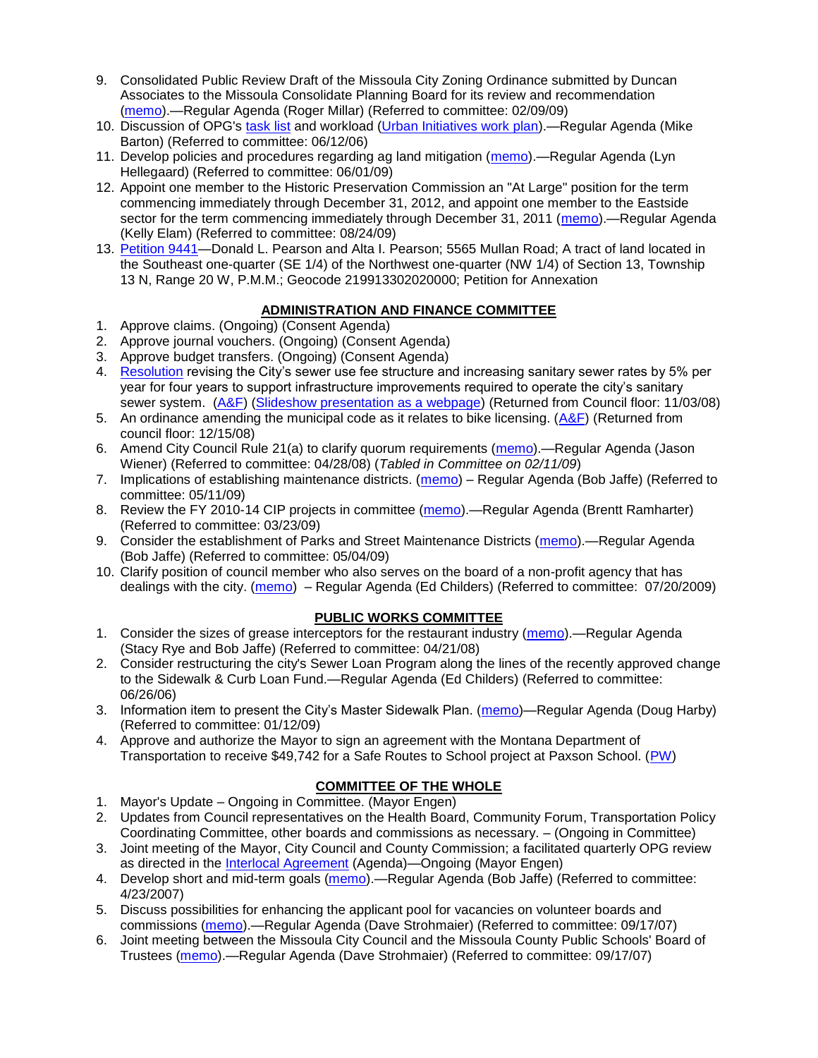- 9. Consolidated Public Review Draft of the Missoula City Zoning Ordinance submitted by Duncan Associates to the Missoula Consolidate Planning Board for its review and recommendation [\(memo\)](ftp://ftp.ci.missoula.mt.us/Packets/Council/2009/2009-02-09/Referrals/CodeRewritetoPBMemo.pdf).—Regular Agenda (Roger Millar) (Referred to committee: 02/09/09)
- 10. Discussion of OPG's [task list](ftp://ftp.ci.missoula.mt.us/Packets/Council/2008/2008-07-07/UITaskList.pdf) and workload [\(Urban Initiatives work plan\)](ftp://ftp.ci.missoula.mt.us/Packets/Council/2006/2006-06-12/Referrals/Urban_Init.htm).—Regular Agenda (Mike Barton) (Referred to committee: 06/12/06)
- 11. Develop policies and procedures regarding ag land mitigation [\(memo\)](http://www.ci.missoula.mt.us/DocumentView.aspx?DID=1272).—Regular Agenda (Lyn Hellegaard) (Referred to committee: 06/01/09)
- 12. Appoint one member to the Historic Preservation Commission an "At Large" position for the term commencing immediately through December 31, 2012, and appoint one member to the Eastside sector for the term commencing immediately through December 31, 2011 [\(memo\)](http://www.ci.missoula.mt.us/DocumentView.aspx?DID=2128).—Regular Agenda (Kelly Elam) (Referred to committee: 08/24/09)
- 13. [Petition 9441—](http://www.ci.missoula.mt.us/DocumentView.aspx?DID=2303)Donald L. Pearson and Alta I. Pearson; 5565 Mullan Road; A tract of land located in the Southeast one-quarter (SE 1/4) of the Northwest one-quarter (NW 1/4) of Section 13, Township 13 N, Range 20 W, P.M.M.; Geocode 219913302020000; Petition for Annexation

# **ADMINISTRATION AND FINANCE COMMITTEE**

- 1. Approve claims. (Ongoing) (Consent Agenda)
- 2. Approve journal vouchers. (Ongoing) (Consent Agenda)
- 3. Approve budget transfers. (Ongoing) (Consent Agenda)
- 4. [Resolution](ftp://ftp.ci.missoula.mt.us/Packets/Council/2008/2008-09-22/referrals/Sewerrateresolution.pdf) revising the City's sewer use fee structure and increasing sanitary sewer rates by 5% per year for four years to support infrastructure improvements required to operate the city's sanitary sewer system. [\(A&F\)](ftp://ftp.ci.missoula.mt.us/Packets/Council/2008/2008-10-06/081001af.pdf) [\(Slideshow presentation as a webpage\)](ftp://ftp.ci.missoula.mt.us/Packets/Council/2008/2008-11-03/2008-11-03SewerUserRateIncrease_files/frame.htm) (Returned from Council floor: 11/03/08)
- 5. An ordinance amending the municipal code as it relates to bike licensing.  $(A&F)$  (Returned from council floor: 12/15/08)
- 6. Amend City Council Rule 21(a) to clarify quorum requirements [\(memo\)](ftp://ftp.ci.missoula.mt.us/Packets/Council/2008/2008-04-28/Referrals/CouncilRule21aReferral.pdf).—Regular Agenda (Jason Wiener) (Referred to committee: 04/28/08) (*Tabled in Committee on 02/11/09*)
- 7. Implications of establishing maintenance districts. [\(memo\)](ftp://ftp.ci.missoula.mt.us/Packets/Council/2009/2009-05-11/Referrals/MaintenanceDistricts.pdf) Regular Agenda (Bob Jaffe) (Referred to committee: 05/11/09)
- 8. Review the FY 2010-14 CIP projects in committee [\(memo\)](ftp://ftp.ci.missoula.mt.us/Packets/Council/2009/2009-03-23/Referrals/RefAFCIPBudgetReviewFY2010-2014CIP.pdf).—Regular Agenda (Brentt Ramharter) (Referred to committee: 03/23/09)
- 9. Consider the establishment of Parks and Street Maintenance Districts [\(memo\)](ftp://ftp.ci.missoula.mt.us/Packets/Council/2009/2009-05-04/Referrals/MaintenanceDistricts.pdf).—Regular Agenda (Bob Jaffe) (Referred to committee: 05/04/09)
- 10. Clarify position of council member who also serves on the board of a non-profit agency that has dealings with the city. [\(memo\)](http://www.ci.missoula.mt.us/DocumentView.aspx?DID=1840) – Regular Agenda (Ed Childers) (Referred to committee: 07/20/2009)

# **PUBLIC WORKS COMMITTEE**

- 1. Consider the sizes of grease interceptors for the restaurant industry [\(memo\)](ftp://ftp.ci.missoula.mt.us/Packets/Council/2008/2008-04-21/Referrals/Industrial_waste_restaurants.pdf).—Regular Agenda (Stacy Rye and Bob Jaffe) (Referred to committee: 04/21/08)
- 2. Consider restructuring the city's Sewer Loan Program along the lines of the recently approved change to the Sidewalk & Curb Loan Fund.—Regular Agenda (Ed Childers) (Referred to committee: 06/26/06)
- 3. Information item to present the City's Master Sidewalk Plan. [\(memo\)](ftp://ftp.ci.missoula.mt.us/packets/council/2009/2009-01-12/Referrals/MstrSdwlkPlnREF.pdf)—Regular Agenda (Doug Harby) (Referred to committee: 01/12/09)
- 4. Approve and authorize the Mayor to sign an agreement with the Montana Department of Transportation to receive \$49,742 for a Safe Routes to School project at Paxson School. [\(PW\)](http://www.ci.missoula.mt.us/Archive.aspx?ADID=1248)

# **COMMITTEE OF THE WHOLE**

- 1. Mayor's Update Ongoing in Committee. (Mayor Engen)
- 2. Updates from Council representatives on the Health Board, Community Forum, Transportation Policy Coordinating Committee, other boards and commissions as necessary. – (Ongoing in Committee)
- 3. Joint meeting of the Mayor, City Council and County Commission; a facilitated quarterly OPG review as directed in the [Interlocal Agreement](ftp://ftp.ci.missoula.mt.us/Documents/Mayor/OPG/Adopted-ILA-2005.pdf) (Agenda)—Ongoing (Mayor Engen)
- 4. Develop short and mid-term goals [\(memo\)](ftp://ftp.ci.missoula.mt.us/Packets/Council/2007/2007-04-23/Referrals/Council_Goals.pdf).—Regular Agenda (Bob Jaffe) (Referred to committee: 4/23/2007)
- 5. Discuss possibilities for enhancing the applicant pool for vacancies on volunteer boards and commissions [\(memo\)](ftp://ftp.ci.missoula.mt.us/Packets/Council/2007/2007-09-17/Referrals/board_and_commission_recruitment.pdf).—Regular Agenda (Dave Strohmaier) (Referred to committee: 09/17/07)
- 6. Joint meeting between the Missoula City Council and the Missoula County Public Schools' Board of Trustees [\(memo\)](ftp://ftp.ci.missoula.mt.us/Packets/Council/2007/2007-09-17/Referrals/Council_School_Board_referral.pdf).—Regular Agenda (Dave Strohmaier) (Referred to committee: 09/17/07)